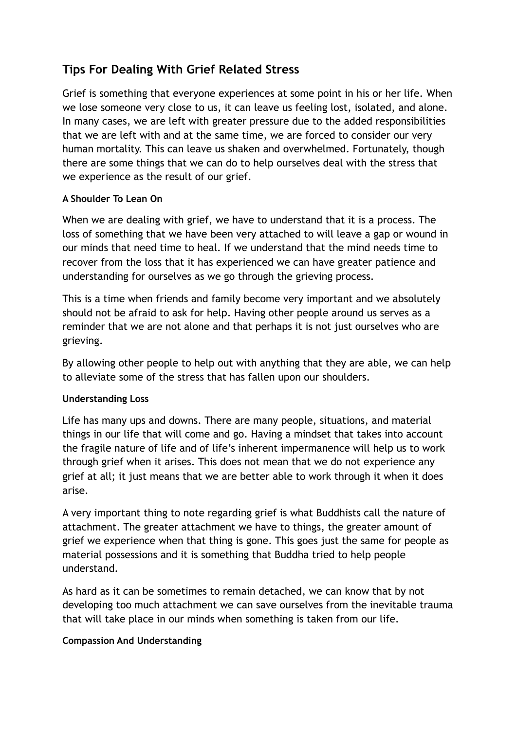# **Tips For Dealing With Grief Related Stress**

Grief is something that everyone experiences at some point in his or her life. When we lose someone very close to us, it can leave us feeling lost, isolated, and alone. In many cases, we are left with greater pressure due to the added responsibilities that we are left with and at the same time, we are forced to consider our very human mortality. This can leave us shaken and overwhelmed. Fortunately, though there are some things that we can do to help ourselves deal with the stress that we experience as the result of our grief.

## **A Shoulder To Lean On**

When we are dealing with grief, we have to understand that it is a process. The loss of something that we have been very attached to will leave a gap or wound in our minds that need time to heal. If we understand that the mind needs time to recover from the loss that it has experienced we can have greater patience and understanding for ourselves as we go through the grieving process.

This is a time when friends and family become very important and we absolutely should not be afraid to ask for help. Having other people around us serves as a reminder that we are not alone and that perhaps it is not just ourselves who are grieving.

By allowing other people to help out with anything that they are able, we can help to alleviate some of the stress that has fallen upon our shoulders.

#### **Understanding Loss**

Life has many ups and downs. There are many people, situations, and material things in our life that will come and go. Having a mindset that takes into account the fragile nature of life and of life's inherent impermanence will help us to work through grief when it arises. This does not mean that we do not experience any grief at all; it just means that we are better able to work through it when it does arise.

A very important thing to note regarding grief is what Buddhists call the nature of attachment. The greater attachment we have to things, the greater amount of grief we experience when that thing is gone. This goes just the same for people as material possessions and it is something that Buddha tried to help people understand.

As hard as it can be sometimes to remain detached, we can know that by not developing too much attachment we can save ourselves from the inevitable trauma that will take place in our minds when something is taken from our life.

#### **Compassion And Understanding**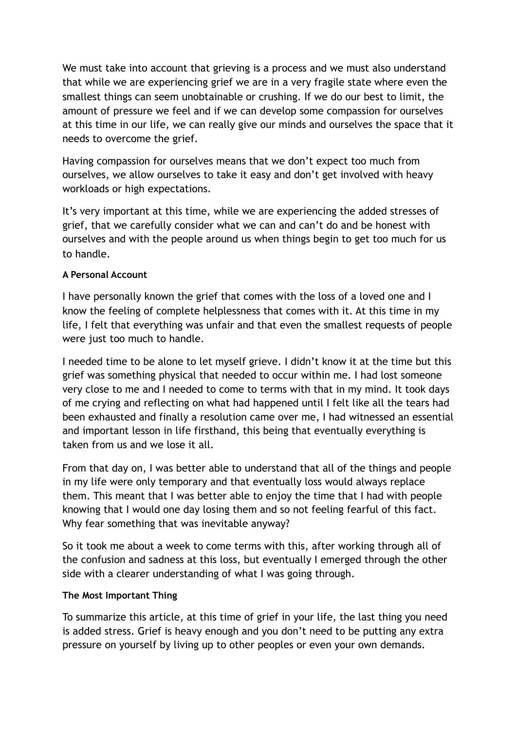We must take into account that grieving is a process and we must also understand that while we are experiencing grief we are in a very fragile state where even the smallest things can seem unobtainable or crushing. If we do our best to limit, the amount of pressure we feel and if we can develop some compassion for ourselves at this time in our life, we can really give our minds and ourselves the space that it needs to overcome the grief.

Having compassion for ourselves means that we don't expect too much from ourselves, we allow ourselves to take it easy and don't get involved with heavy workloads or high expectations.

It's very important at this time, while we are experiencing the added stresses of grief, that we carefully consider what we can and can't do and be honest with ourselves and with the people around us when things begin to get too much for us to handle.

## **A Personal Account**

I have personally known the grief that comes with the loss of a loved one and I know the feeling of complete helplessness that comes with it. At this time in my life, I felt that everything was unfair and that even the smallest requests of people were just too much to handle.

I needed time to be alone to let myself grieve. I didn't know it at the time but this grief was something physical that needed to occur within me. I had lost someone very close to me and I needed to come to terms with that in my mind. It took days of me crying and reflecting on what had happened until I felt like all the tears had been exhausted and finally a resolution came over me, I had witnessed an essential and important lesson in life firsthand, this being that eventually everything is taken from us and we lose it all.

From that day on, I was better able to understand that all of the things and people in my life were only temporary and that eventually loss would always replace them. This meant that I was better able to enjoy the time that I had with people knowing that I would one day losing them and so not feeling fearful of this fact. Why fear something that was inevitable anyway?

So it took me about a week to come terms with this, after working through all of the confusion and sadness at this loss, but eventually I emerged through the other side with a clearer understanding of what I was going through.

#### **The Most Important Thing**

To summarize this article, at this time of grief in your life, the last thing you need is added stress. Grief is heavy enough and you don't need to be putting any extra pressure on yourself by living up to other peoples or even your own demands.